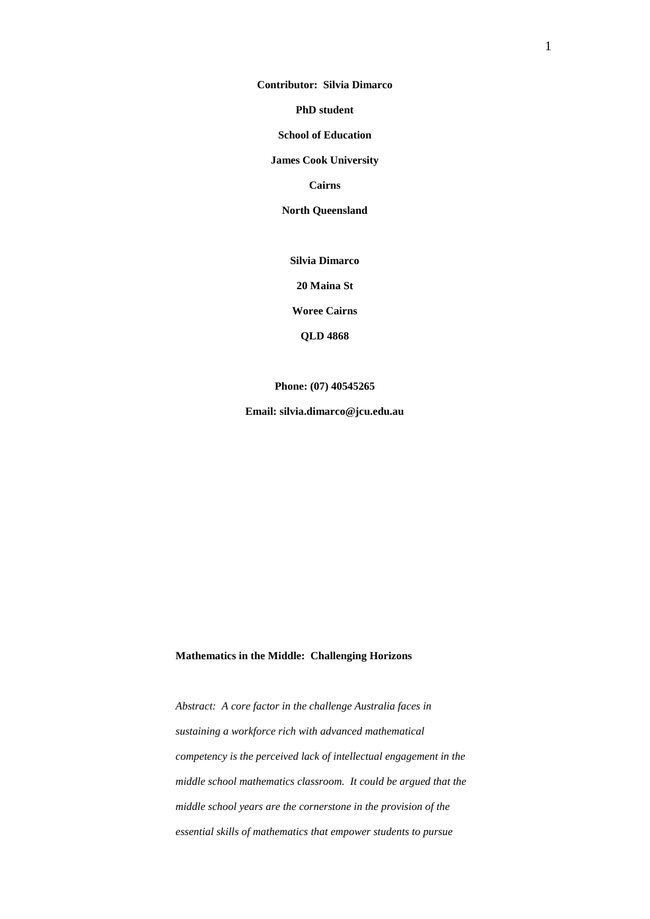**Contributor: Silvia Dimarco**

**PhD student**

**School of Education**

**James Cook University**

**Cairns**

**North Queensland**

**Silvia Dimarco**

**20 Maina St**

**Woree Cairns**

**QLD 4868**

**Phone: (07) 40545265**

**Email: silvia.dimarco@jcu.edu.au**

# **Mathematics in the Middle: Challenging Horizons**

*Abstract: A core factor in the challenge Australia faces in sustaining a workforce rich with advanced mathematical competency is the perceived lack of intellectual engagement in the middle school mathematics classroom. It could be argued that the middle school years are the cornerstone in the provision of the essential skills of mathematics that empower students to pursue*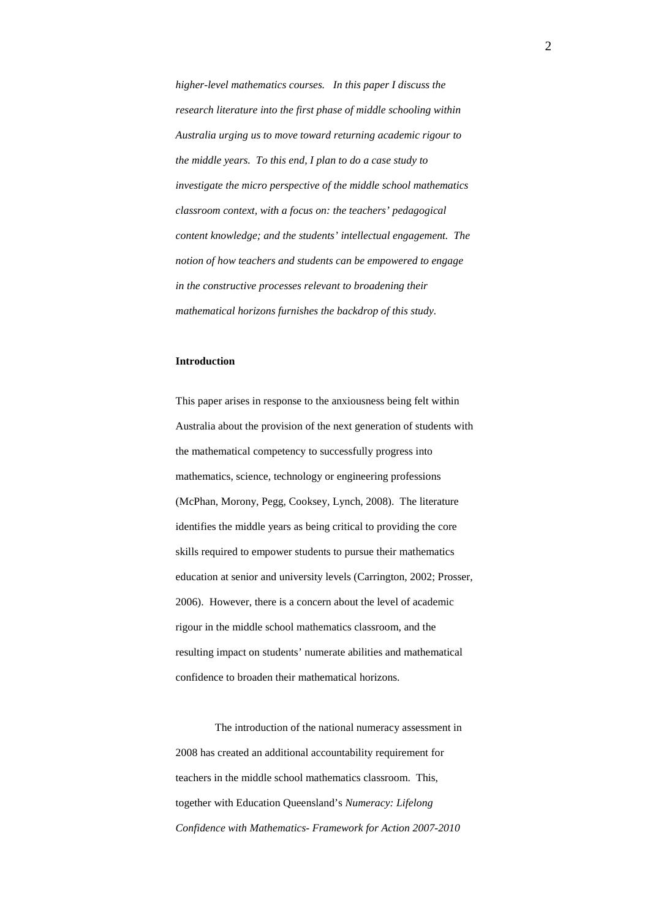*higher-level mathematics courses. In this paper I discuss the research literature into the first phase of middle schooling within Australia urging us to move toward returning academic rigour to the middle years. To this end, I plan to do a case study to investigate the micro perspective of the middle school mathematics classroom context, with a focus on: the teachers' pedagogical content knowledge; and the students' intellectual engagement. The notion of how teachers and students can be empowered to engage in the constructive processes relevant to broadening their mathematical horizons furnishes the backdrop of this study.*

## **Introduction**

This paper arises in response to the anxiousness being felt within Australia about the provision of the next generation of students with the mathematical competency to successfully progress into mathematics, science, technology or engineering professions (McPhan, Morony, Pegg, Cooksey, Lynch, 2008). The literature identifies the middle years as being critical to providing the core skills required to empower students to pursue their mathematics education at senior and university levels (Carrington, 2002; Prosser, 2006). However, there is a concern about the level of academic rigour in the middle school mathematics classroom, and the resulting impact on students' numerate abilities and mathematical confidence to broaden their mathematical horizons.

The introduction of the national numeracy assessment in 2008 has created an additional accountability requirement for teachers in the middle school mathematics classroom. This, together with Education Queensland's *Numeracy: Lifelong Confidence with Mathematics- Framework for Action 2007-2010*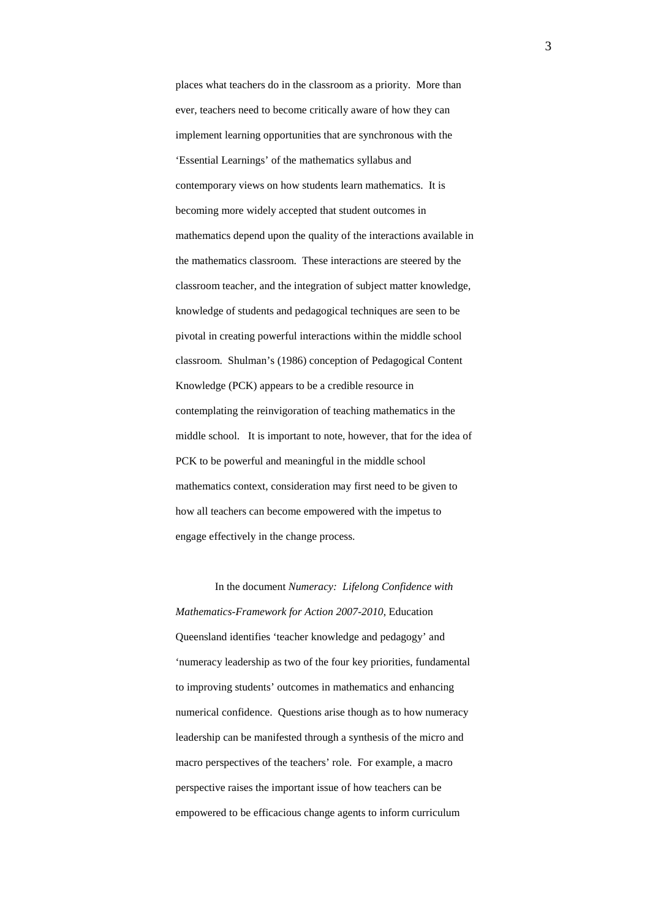places what teachers do in the classroom as a priority. More than ever, teachers need to become critically aware of how they can implement learning opportunities that are synchronous with the 'Essential Learnings' of the mathematics syllabus and contemporary views on how students learn mathematics. It is becoming more widely accepted that student outcomes in mathematics depend upon the quality of the interactions available in the mathematics classroom. These interactions are steered by the classroom teacher, and the integration of subject matter knowledge, knowledge of students and pedagogical techniques are seen to be pivotal in creating powerful interactions within the middle school classroom. Shulman's (1986) conception of Pedagogical Content Knowledge (PCK) appears to be a credible resource in contemplating the reinvigoration of teaching mathematics in the middle school. It is important to note, however, that for the idea of PCK to be powerful and meaningful in the middle school mathematics context, consideration may first need to be given to how all teachers can become empowered with the impetus to engage effectively in the change process.

In the document *Numeracy: Lifelong Confidence with Mathematics-Framework for Action 2007-2010*, Education Queensland identifies 'teacher knowledge and pedagogy' and 'numeracy leadership as two of the four key priorities, fundamental to improving students' outcomes in mathematics and enhancing numerical confidence. Questions arise though as to how numeracy leadership can be manifested through a synthesis of the micro and macro perspectives of the teachers' role. For example, a macro perspective raises the important issue of how teachers can be empowered to be efficacious change agents to inform curriculum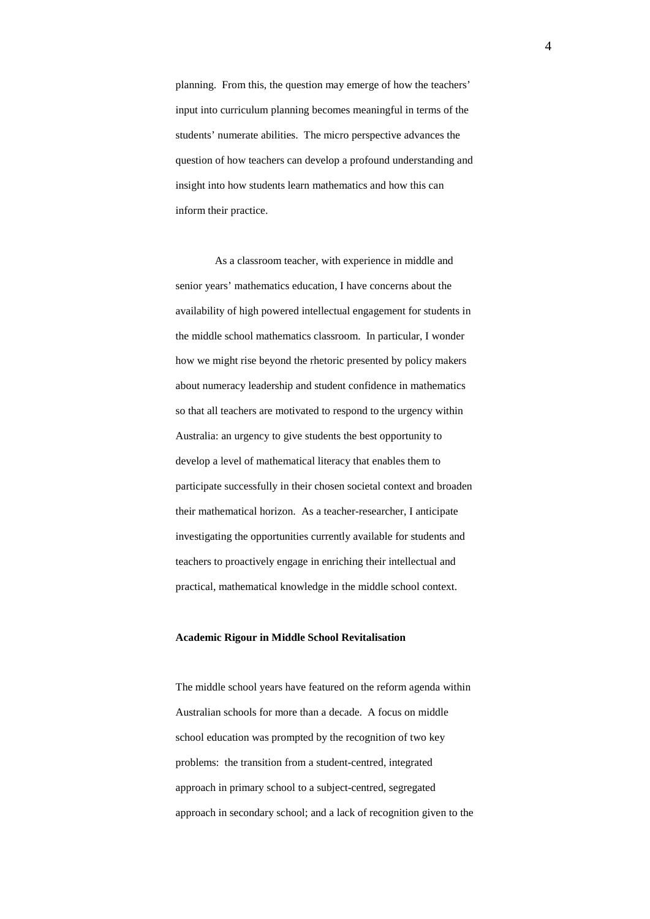planning. From this, the question may emerge of how the teachers' input into curriculum planning becomes meaningful in terms of the students' numerate abilities. The micro perspective advances the question of how teachers can develop a profound understanding and insight into how students learn mathematics and how this can inform their practice.

As a classroom teacher, with experience in middle and senior years' mathematics education, I have concerns about the availability of high powered intellectual engagement for students in the middle school mathematics classroom. In particular, I wonder how we might rise beyond the rhetoric presented by policy makers about numeracy leadership and student confidence in mathematics so that all teachers are motivated to respond to the urgency within Australia: an urgency to give students the best opportunity to develop a level of mathematical literacy that enables them to participate successfully in their chosen societal context and broaden their mathematical horizon. As a teacher-researcher, I anticipate investigating the opportunities currently available for students and teachers to proactively engage in enriching their intellectual and practical, mathematical knowledge in the middle school context.

## **Academic Rigour in Middle School Revitalisation**

The middle school years have featured on the reform agenda within Australian schools for more than a decade. A focus on middle school education was prompted by the recognition of two key problems: the transition from a student-centred, integrated approach in primary school to a subject-centred, segregated approach in secondary school; and a lack of recognition given to the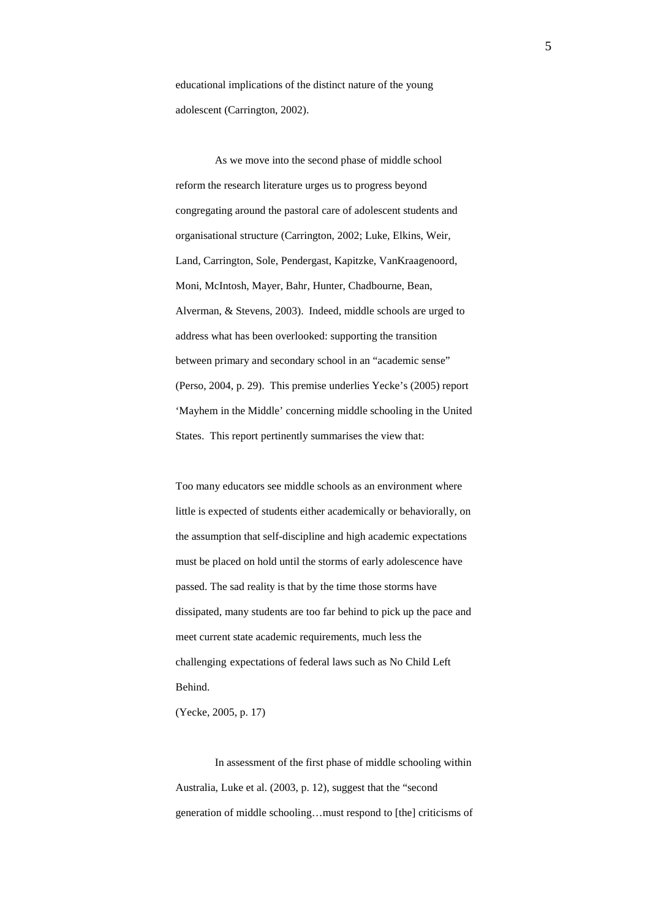educational implications of the distinct nature of the young adolescent (Carrington, 2002).

As we move into the second phase of middle school reform the research literature urges us to progress beyond congregating around the pastoral care of adolescent students and organisational structure (Carrington, 2002; Luke, Elkins, Weir, Land, Carrington, Sole, Pendergast, Kapitzke, VanKraagenoord, Moni, McIntosh, Mayer, Bahr, Hunter, Chadbourne, Bean, Alverman, & Stevens, 2003). Indeed, middle schools are urged to address what has been overlooked: supporting the transition between primary and secondary school in an "academic sense" (Perso, 2004, p. 29). This premise underlies Yecke's (2005) report 'Mayhem in the Middle' concerning middle schooling in the United States. This report pertinently summarises the view that:

Too many educators see middle schools as an environment where little is expected of students either academically or behaviorally, on the assumption that self-discipline and high academic expectations must be placed on hold until the storms of early adolescence have passed. The sad reality is that by the time those storms have dissipated, many students are too far behind to pick up the pace and meet current state academic requirements, much less the challenging expectations of federal laws such as No Child Left Behind.

(Yecke, 2005, p. 17)

In assessment of the first phase of middle schooling within Australia, Luke et al. (2003, p. 12), suggest that the "second generation of middle schooling…must respond to [the] criticisms of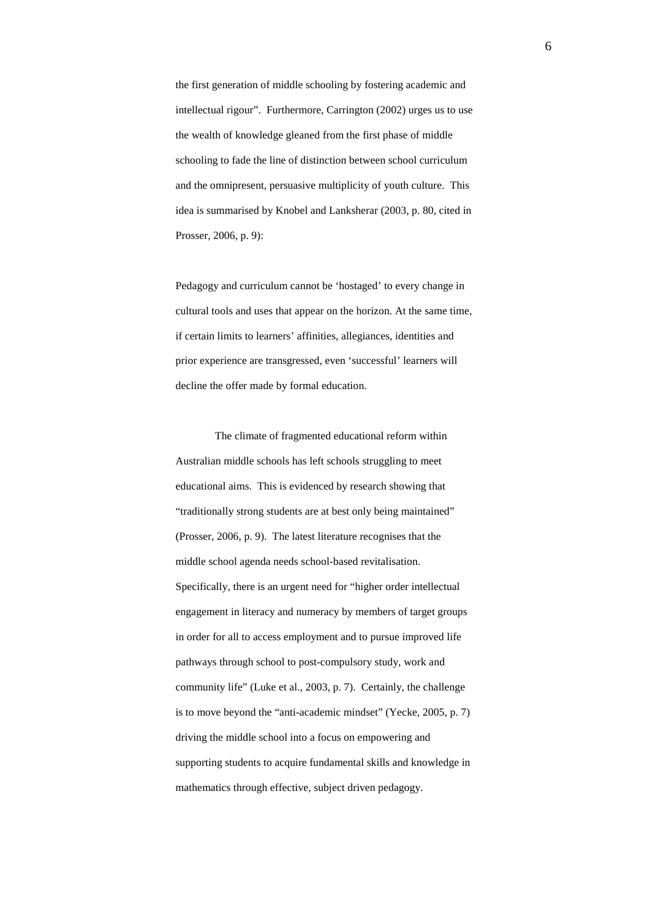the first generation of middle schooling by fostering academic and intellectual rigour". Furthermore, Carrington (2002) urges us to use the wealth of knowledge gleaned from the first phase of middle schooling to fade the line of distinction between school curriculum and the omnipresent, persuasive multiplicity of youth culture. This idea is summarised by Knobel and Lanksherar (2003, p. 80, cited in Prosser, 2006, p. 9):

Pedagogy and curriculum cannot be 'hostaged' to every change in cultural tools and uses that appear on the horizon. At the same time, if certain limits to learners' affinities, allegiances, identities and prior experience are transgressed, even 'successful' learners will decline the offer made by formal education.

The climate of fragmented educational reform within Australian middle schools has left schools struggling to meet educational aims. This is evidenced by research showing that "traditionally strong students are at best only being maintained" (Prosser, 2006, p. 9). The latest literature recognises that the middle school agenda needs school-based revitalisation. Specifically, there is an urgent need for "higher order intellectual engagement in literacy and numeracy by members of target groups in order for all to access employment and to pursue improved life pathways through school to post-compulsory study, work and community life" (Luke et al., 2003, p. 7). Certainly, the challenge is to move beyond the "anti-academic mindset" (Yecke, 2005, p. 7) driving the middle school into a focus on empowering and supporting students to acquire fundamental skills and knowledge in mathematics through effective, subject driven pedagogy.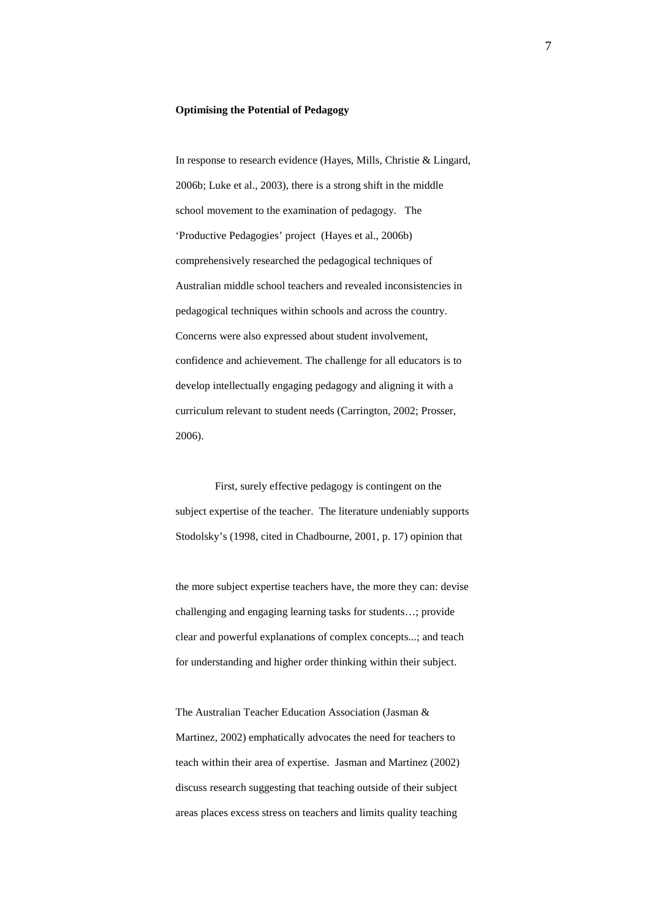## **Optimising the Potential of Pedagogy**

In response to research evidence (Hayes, Mills, Christie & Lingard, 2006b; Luke et al., 2003), there is a strong shift in the middle school movement to the examination of pedagogy. The 'Productive Pedagogies' project (Hayes et al., 2006b) comprehensively researched the pedagogical techniques of Australian middle school teachers and revealed inconsistencies in pedagogical techniques within schools and across the country. Concerns were also expressed about student involvement, confidence and achievement. The challenge for all educators is to develop intellectually engaging pedagogy and aligning it with a curriculum relevant to student needs (Carrington, 2002; Prosser, 2006).

First, surely effective pedagogy is contingent on the subject expertise of the teacher. The literature undeniably supports Stodolsky's (1998, cited in Chadbourne, 2001, p. 17) opinion that

the more subject expertise teachers have, the more they can: devise challenging and engaging learning tasks for students…; provide clear and powerful explanations of complex concepts...; and teach for understanding and higher order thinking within their subject.

The Australian Teacher Education Association (Jasman & Martinez, 2002) emphatically advocates the need for teachers to teach within their area of expertise. Jasman and Martinez (2002) discuss research suggesting that teaching outside of their subject areas places excess stress on teachers and limits quality teaching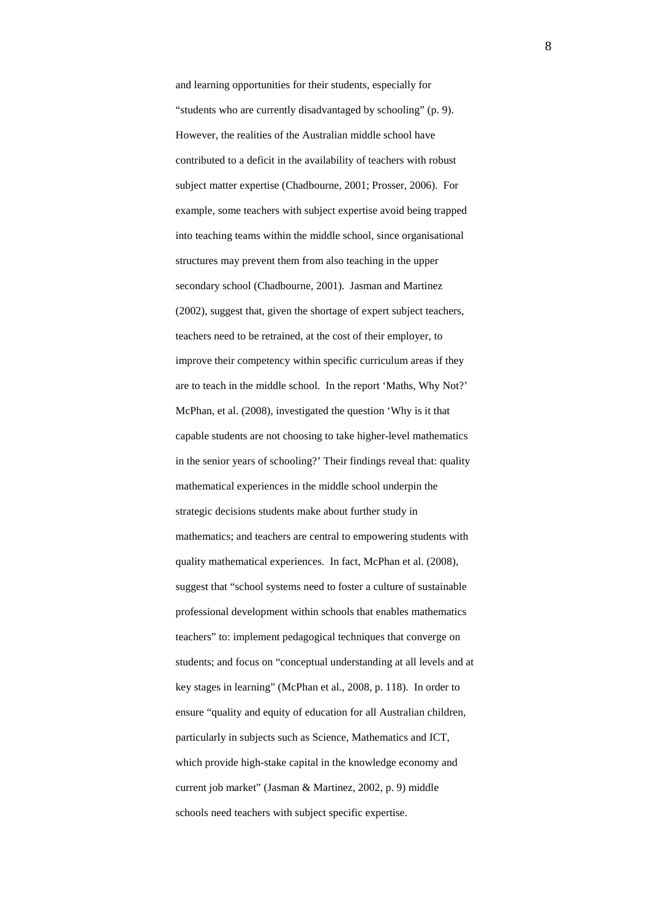and learning opportunities for their students, especially for "students who are currently disadvantaged by schooling" (p. 9). However, the realities of the Australian middle school have contributed to a deficit in the availability of teachers with robust subject matter expertise (Chadbourne, 2001; Prosser, 2006). For example, some teachers with subject expertise avoid being trapped into teaching teams within the middle school, since organisational structures may prevent them from also teaching in the upper secondary school (Chadbourne, 2001). Jasman and Martinez (2002), suggest that, given the shortage of expert subject teachers, teachers need to be retrained, at the cost of their employer, to improve their competency within specific curriculum areas if they are to teach in the middle school. In the report 'Maths, Why Not?' McPhan, et al. (2008), investigated the question 'Why is it that capable students are not choosing to take higher-level mathematics in the senior years of schooling?' Their findings reveal that: quality mathematical experiences in the middle school underpin the strategic decisions students make about further study in mathematics; and teachers are central to empowering students with quality mathematical experiences. In fact, McPhan et al. (2008), suggest that "school systems need to foster a culture of sustainable professional development within schools that enables mathematics teachers" to: implement pedagogical techniques that converge on students; and focus on "conceptual understanding at all levels and at key stages in learning" (McPhan et al., 2008, p. 118). In order to ensure "quality and equity of education for all Australian children, particularly in subjects such as Science, Mathematics and ICT, which provide high-stake capital in the knowledge economy and current job market" (Jasman & Martinez, 2002, p. 9) middle schools need teachers with subject specific expertise.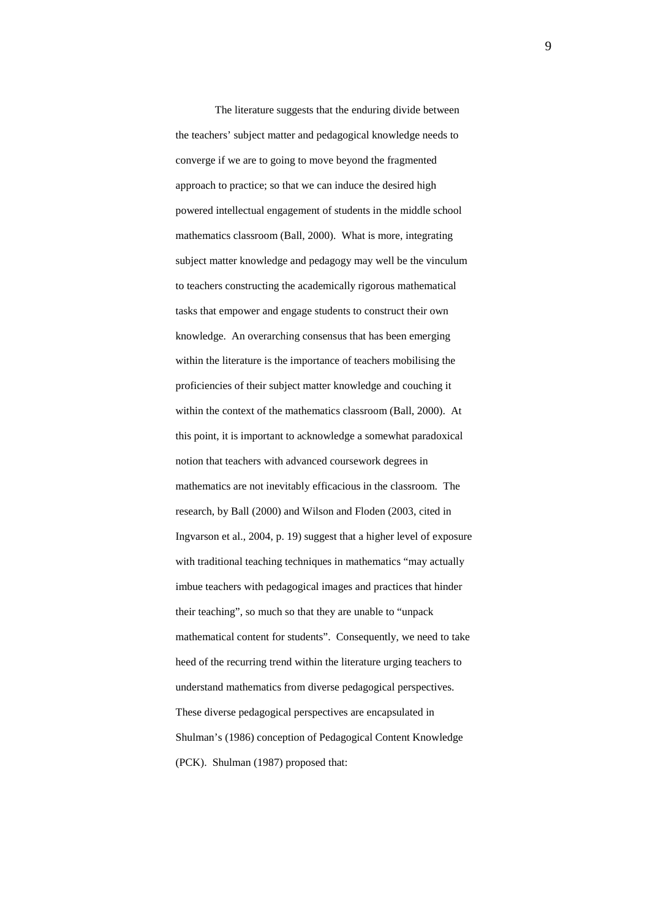The literature suggests that the enduring divide between the teachers' subject matter and pedagogical knowledge needs to converge if we are to going to move beyond the fragmented approach to practice; so that we can induce the desired high powered intellectual engagement of students in the middle school mathematics classroom (Ball, 2000). What is more, integrating subject matter knowledge and pedagogy may well be the vinculum to teachers constructing the academically rigorous mathematical tasks that empower and engage students to construct their own knowledge. An overarching consensus that has been emerging within the literature is the importance of teachers mobilising the proficiencies of their subject matter knowledge and couching it within the context of the mathematics classroom (Ball, 2000). At this point, it is important to acknowledge a somewhat paradoxical notion that teachers with advanced coursework degrees in mathematics are not inevitably efficacious in the classroom. The research, by Ball (2000) and Wilson and Floden (2003, cited in Ingvarson et al., 2004, p. 19) suggest that a higher level of exposure with traditional teaching techniques in mathematics "may actually imbue teachers with pedagogical images and practices that hinder their teaching", so much so that they are unable to "unpack mathematical content for students". Consequently, we need to take heed of the recurring trend within the literature urging teachers to understand mathematics from diverse pedagogical perspectives. These diverse pedagogical perspectives are encapsulated in Shulman's (1986) conception of Pedagogical Content Knowledge (PCK). Shulman (1987) proposed that: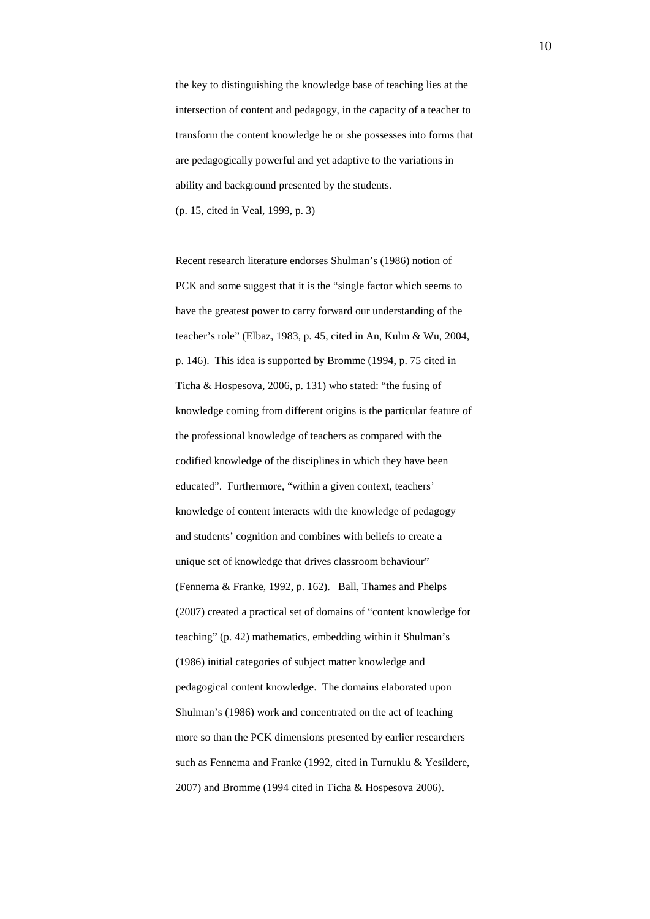the key to distinguishing the knowledge base of teaching lies at the intersection of content and pedagogy, in the capacity of a teacher to transform the content knowledge he or she possesses into forms that are pedagogically powerful and yet adaptive to the variations in ability and background presented by the students. (p. 15, cited in Veal, 1999, p. 3)

Recent research literature endorses Shulman's (1986) notion of PCK and some suggest that it is the "single factor which seems to have the greatest power to carry forward our understanding of the teacher's role" (Elbaz, 1983, p. 45, cited in An, Kulm & Wu, 2004, p. 146). This idea is supported by Bromme (1994, p. 75 cited in Ticha & Hospesova, 2006, p. 131) who stated: "the fusing of knowledge coming from different origins is the particular feature of the professional knowledge of teachers as compared with the codified knowledge of the disciplines in which they have been educated". Furthermore, "within a given context, teachers' knowledge of content interacts with the knowledge of pedagogy and students' cognition and combines with beliefs to create a unique set of knowledge that drives classroom behaviour" (Fennema & Franke, 1992, p. 162). Ball, Thames and Phelps (2007) created a practical set of domains of "content knowledge for teaching" (p. 42) mathematics, embedding within it Shulman's (1986) initial categories of subject matter knowledge and pedagogical content knowledge. The domains elaborated upon Shulman's (1986) work and concentrated on the act of teaching more so than the PCK dimensions presented by earlier researchers such as Fennema and Franke (1992, cited in Turnuklu & Yesildere, 2007) and Bromme (1994 cited in Ticha & Hospesova 2006).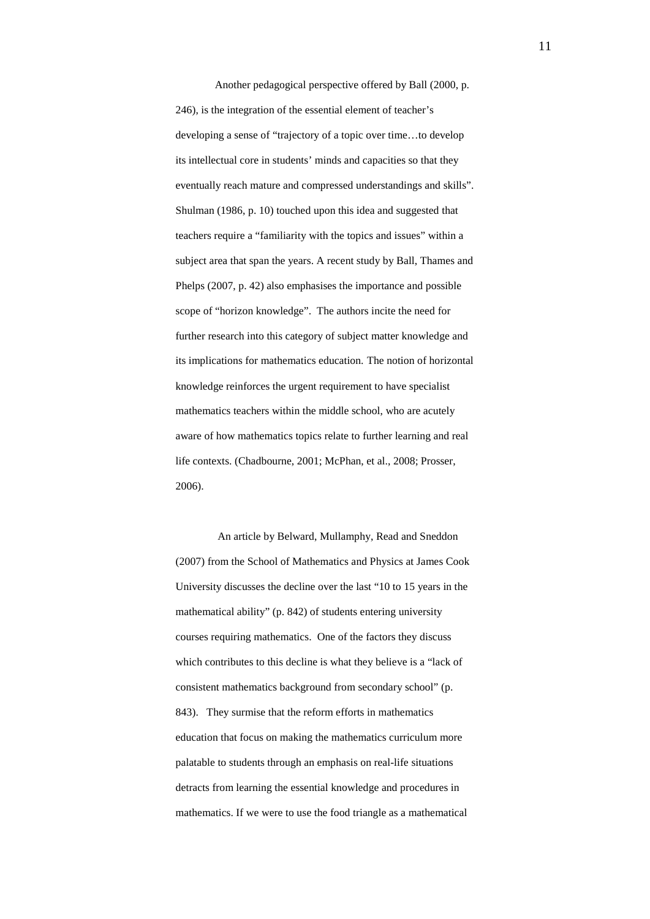Another pedagogical perspective offered by Ball (2000, p. 246), is the integration of the essential element of teacher's developing a sense of "trajectory of a topic over time…to develop its intellectual core in students' minds and capacities so that they eventually reach mature and compressed understandings and skills". Shulman (1986, p. 10) touched upon this idea and suggested that teachers require a "familiarity with the topics and issues" within a subject area that span the years. A recent study by Ball, Thames and Phelps (2007, p. 42) also emphasises the importance and possible scope of "horizon knowledge". The authors incite the need for further research into this category of subject matter knowledge and its implications for mathematics education. The notion of horizontal knowledge reinforces the urgent requirement to have specialist mathematics teachers within the middle school, who are acutely aware of how mathematics topics relate to further learning and real life contexts. (Chadbourne, 2001; McPhan, et al., 2008; Prosser, 2006).

An article by Belward, Mullamphy, Read and Sneddon (2007) from the School of Mathematics and Physics at James Cook University discusses the decline over the last "10 to 15 years in the mathematical ability" (p. 842) of students entering university courses requiring mathematics. One of the factors they discuss which contributes to this decline is what they believe is a "lack of consistent mathematics background from secondary school" (p. 843). They surmise that the reform efforts in mathematics education that focus on making the mathematics curriculum more palatable to students through an emphasis on real-life situations detracts from learning the essential knowledge and procedures in mathematics. If we were to use the food triangle as a mathematical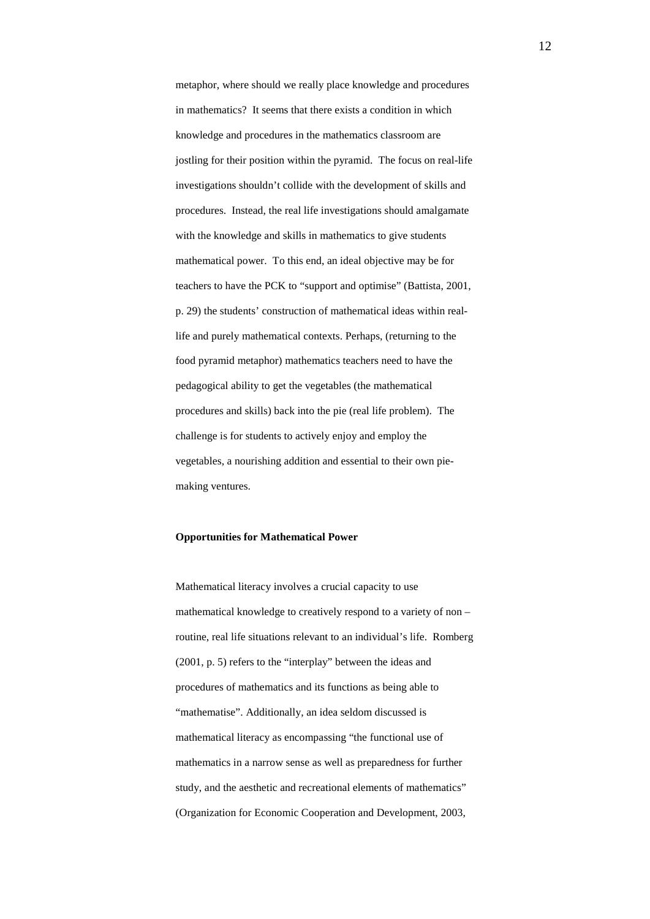metaphor, where should we really place knowledge and procedures in mathematics? It seems that there exists a condition in which knowledge and procedures in the mathematics classroom are jostling for their position within the pyramid. The focus on real-life investigations shouldn't collide with the development of skills and procedures. Instead, the real life investigations should amalgamate with the knowledge and skills in mathematics to give students mathematical power. To this end, an ideal objective may be for teachers to have the PCK to "support and optimise" (Battista, 2001, p. 29) the students' construction of mathematical ideas within reallife and purely mathematical contexts. Perhaps, (returning to the food pyramid metaphor) mathematics teachers need to have the pedagogical ability to get the vegetables (the mathematical procedures and skills) back into the pie (real life problem). The challenge is for students to actively enjoy and employ the vegetables, a nourishing addition and essential to their own piemaking ventures.

# **Opportunities for Mathematical Power**

Mathematical literacy involves a crucial capacity to use mathematical knowledge to creatively respond to a variety of non – routine, real life situations relevant to an individual's life. Romberg (2001, p. 5) refers to the "interplay" between the ideas and procedures of mathematics and its functions as being able to "mathematise". Additionally, an idea seldom discussed is mathematical literacy as encompassing "the functional use of mathematics in a narrow sense as well as preparedness for further study, and the aesthetic and recreational elements of mathematics" (Organization for Economic Cooperation and Development, 2003,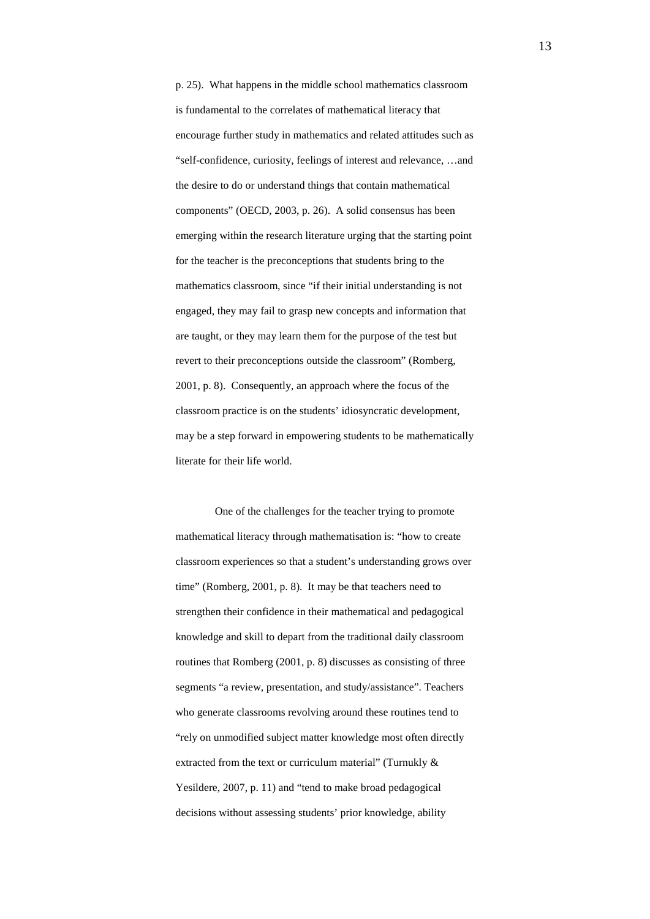p. 25). What happens in the middle school mathematics classroom is fundamental to the correlates of mathematical literacy that encourage further study in mathematics and related attitudes such as "self-confidence, curiosity, feelings of interest and relevance, …and the desire to do or understand things that contain mathematical components" (OECD, 2003, p. 26). A solid consensus has been emerging within the research literature urging that the starting point for the teacher is the preconceptions that students bring to the mathematics classroom, since "if their initial understanding is not engaged, they may fail to grasp new concepts and information that are taught, or they may learn them for the purpose of the test but revert to their preconceptions outside the classroom" (Romberg, 2001, p. 8). Consequently, an approach where the focus of the classroom practice is on the students' idiosyncratic development, may be a step forward in empowering students to be mathematically literate for their life world.

One of the challenges for the teacher trying to promote mathematical literacy through mathematisation is: "how to create classroom experiences so that a student's understanding grows over time" (Romberg, 2001, p. 8). It may be that teachers need to strengthen their confidence in their mathematical and pedagogical knowledge and skill to depart from the traditional daily classroom routines that Romberg (2001, p. 8) discusses as consisting of three segments "a review, presentation, and study/assistance". Teachers who generate classrooms revolving around these routines tend to "rely on unmodified subject matter knowledge most often directly extracted from the text or curriculum material" (Turnukly & Yesildere, 2007, p. 11) and "tend to make broad pedagogical decisions without assessing students' prior knowledge, ability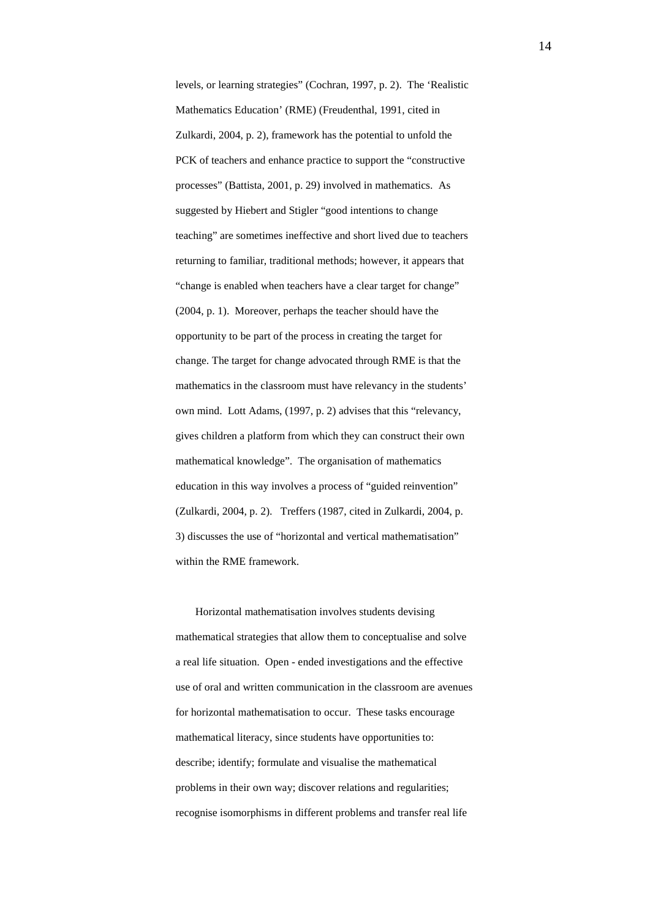levels, or learning strategies" (Cochran, 1997, p. 2). The 'Realistic Mathematics Education' (RME) (Freudenthal, 1991, cited in Zulkardi, 2004, p. 2), framework has the potential to unfold the PCK of teachers and enhance practice to support the "constructive processes" (Battista, 2001, p. 29) involved in mathematics. As suggested by Hiebert and Stigler "good intentions to change teaching" are sometimes ineffective and short lived due to teachers returning to familiar, traditional methods; however, it appears that "change is enabled when teachers have a clear target for change" (2004, p. 1). Moreover, perhaps the teacher should have the opportunity to be part of the process in creating the target for change. The target for change advocated through RME is that the mathematics in the classroom must have relevancy in the students' own mind. Lott Adams, (1997, p. 2) advises that this "relevancy, gives children a platform from which they can construct their own mathematical knowledge". The organisation of mathematics education in this way involves a process of "guided reinvention" (Zulkardi, 2004, p. 2). Treffers (1987, cited in Zulkardi, 2004, p. 3) discusses the use of "horizontal and vertical mathematisation" within the RME framework.

Horizontal mathematisation involves students devising mathematical strategies that allow them to conceptualise and solve a real life situation. Open - ended investigations and the effective use of oral and written communication in the classroom are avenues for horizontal mathematisation to occur. These tasks encourage mathematical literacy, since students have opportunities to: describe; identify; formulate and visualise the mathematical problems in their own way; discover relations and regularities; recognise isomorphisms in different problems and transfer real life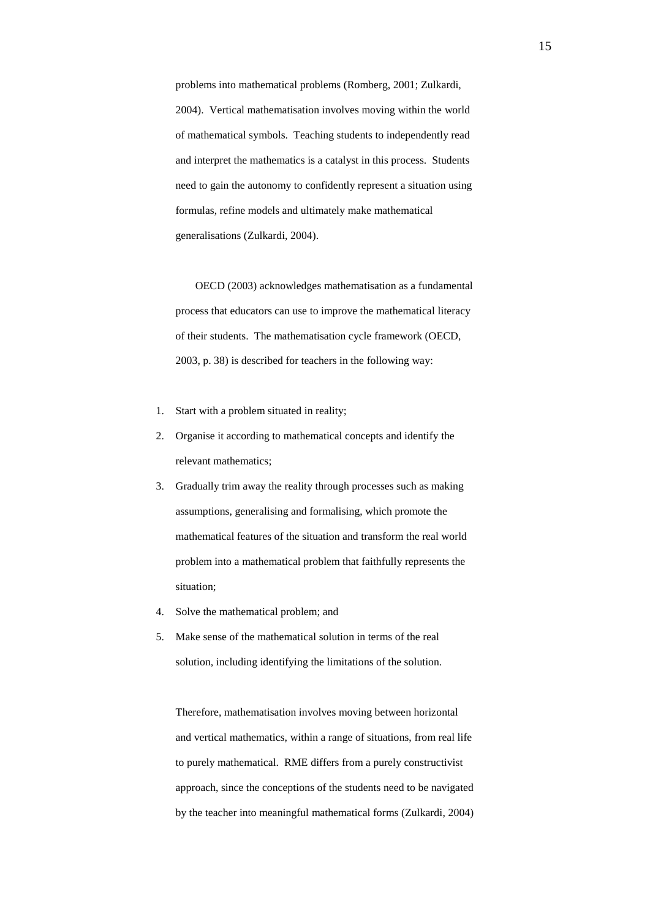problems into mathematical problems (Romberg, 2001; Zulkardi, 2004). Vertical mathematisation involves moving within the world of mathematical symbols. Teaching students to independently read and interpret the mathematics is a catalyst in this process. Students need to gain the autonomy to confidently represent a situation using formulas, refine models and ultimately make mathematical generalisations (Zulkardi, 2004).

OECD (2003) acknowledges mathematisation as a fundamental process that educators can use to improve the mathematical literacy of their students. The mathematisation cycle framework (OECD, 2003, p. 38) is described for teachers in the following way:

- 1. Start with a problem situated in reality;
- 2. Organise it according to mathematical concepts and identify the relevant mathematics;
- 3. Gradually trim away the reality through processes such as making assumptions, generalising and formalising, which promote the mathematical features of the situation and transform the real world problem into a mathematical problem that faithfully represents the situation;
- 4. Solve the mathematical problem; and
- 5. Make sense of the mathematical solution in terms of the real solution, including identifying the limitations of the solution.

Therefore, mathematisation involves moving between horizontal and vertical mathematics, within a range of situations, from real life to purely mathematical. RME differs from a purely constructivist approach, since the conceptions of the students need to be navigated by the teacher into meaningful mathematical forms (Zulkardi, 2004)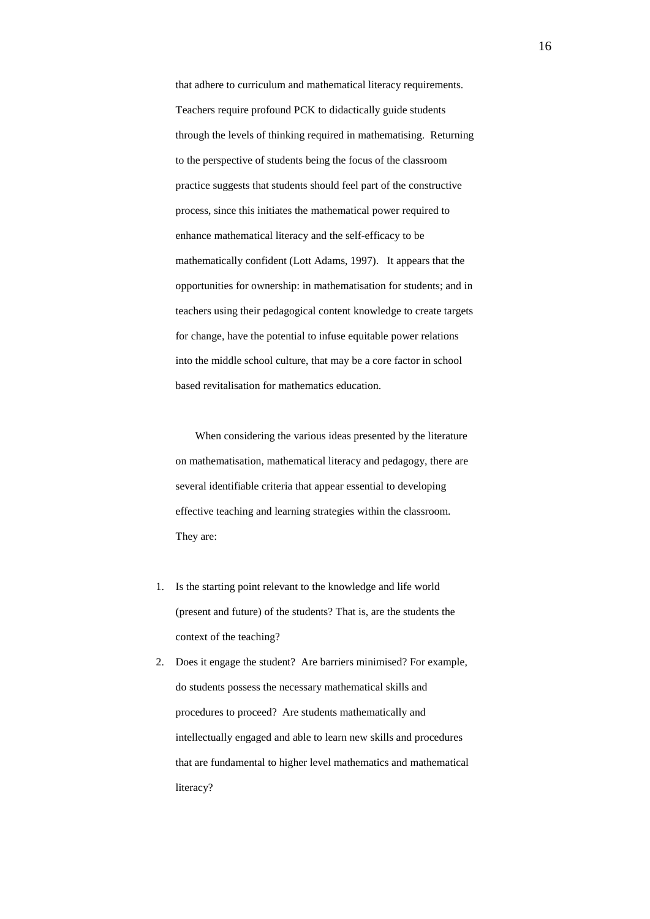that adhere to curriculum and mathematical literacy requirements. Teachers require profound PCK to didactically guide students through the levels of thinking required in mathematising. Returning to the perspective of students being the focus of the classroom practice suggests that students should feel part of the constructive process, since this initiates the mathematical power required to enhance mathematical literacy and the self-efficacy to be mathematically confident (Lott Adams, 1997). It appears that the opportunities for ownership: in mathematisation for students; and in teachers using their pedagogical content knowledge to create targets for change, have the potential to infuse equitable power relations into the middle school culture, that may be a core factor in school based revitalisation for mathematics education.

When considering the various ideas presented by the literature on mathematisation, mathematical literacy and pedagogy, there are several identifiable criteria that appear essential to developing effective teaching and learning strategies within the classroom. They are:

- 1. Is the starting point relevant to the knowledge and life world (present and future) of the students? That is, are the students the context of the teaching?
- 2. Does it engage the student? Are barriers minimised? For example, do students possess the necessary mathematical skills and procedures to proceed? Are students mathematically and intellectually engaged and able to learn new skills and procedures that are fundamental to higher level mathematics and mathematical literacy?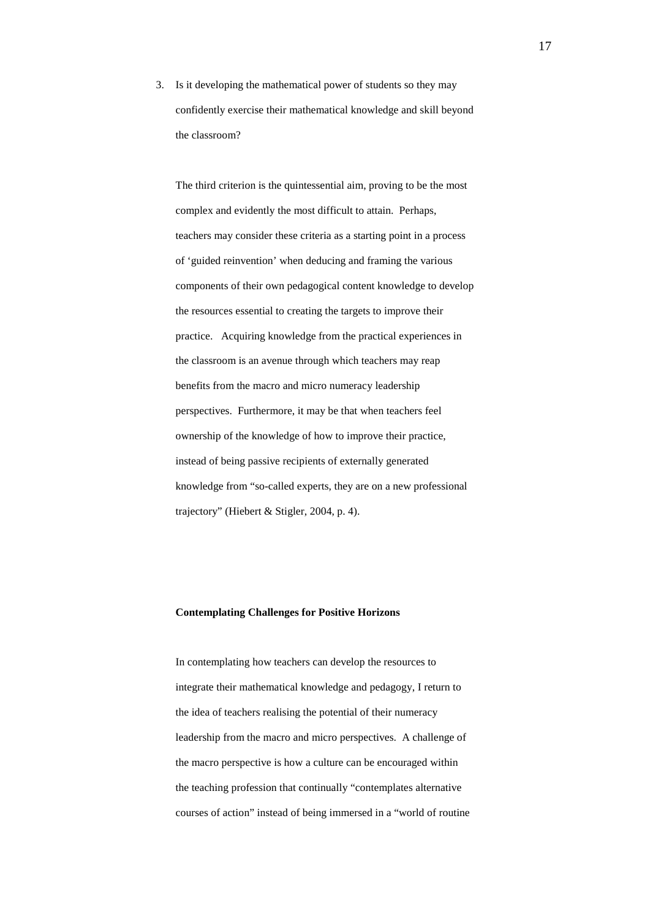3. Is it developing the mathematical power of students so they may confidently exercise their mathematical knowledge and skill beyond the classroom?

The third criterion is the quintessential aim, proving to be the most complex and evidently the most difficult to attain. Perhaps, teachers may consider these criteria as a starting point in a process of 'guided reinvention' when deducing and framing the various components of their own pedagogical content knowledge to develop the resources essential to creating the targets to improve their practice. Acquiring knowledge from the practical experiences in the classroom is an avenue through which teachers may reap benefits from the macro and micro numeracy leadership perspectives. Furthermore, it may be that when teachers feel ownership of the knowledge of how to improve their practice, instead of being passive recipients of externally generated knowledge from "so-called experts, they are on a new professional trajectory" (Hiebert & Stigler, 2004, p. 4).

## **Contemplating Challenges for Positive Horizons**

In contemplating how teachers can develop the resources to integrate their mathematical knowledge and pedagogy, I return to the idea of teachers realising the potential of their numeracy leadership from the macro and micro perspectives. A challenge of the macro perspective is how a culture can be encouraged within the teaching profession that continually "contemplates alternative courses of action" instead of being immersed in a "world of routine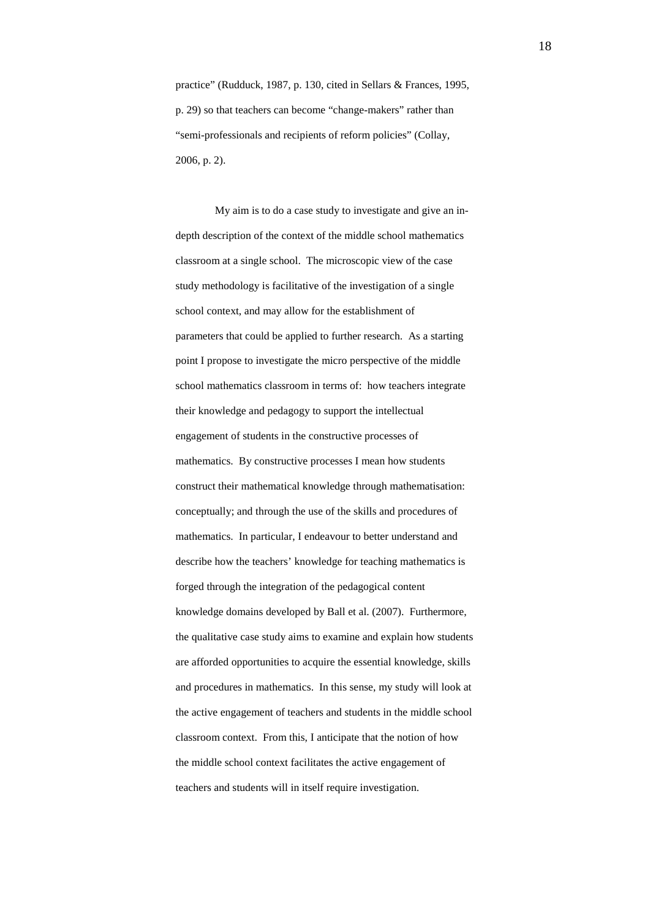practice" (Rudduck, 1987, p. 130, cited in Sellars & Frances, 1995, p. 29) so that teachers can become "change-makers" rather than "semi-professionals and recipients of reform policies" (Collay, 2006, p. 2).

My aim is to do a case study to investigate and give an indepth description of the context of the middle school mathematics classroom at a single school. The microscopic view of the case study methodology is facilitative of the investigation of a single school context, and may allow for the establishment of parameters that could be applied to further research. As a starting point I propose to investigate the micro perspective of the middle school mathematics classroom in terms of: how teachers integrate their knowledge and pedagogy to support the intellectual engagement of students in the constructive processes of mathematics. By constructive processes I mean how students construct their mathematical knowledge through mathematisation: conceptually; and through the use of the skills and procedures of mathematics. In particular, I endeavour to better understand and describe how the teachers' knowledge for teaching mathematics is forged through the integration of the pedagogical content knowledge domains developed by Ball et al. (2007). Furthermore, the qualitative case study aims to examine and explain how students are afforded opportunities to acquire the essential knowledge, skills and procedures in mathematics. In this sense, my study will look at the active engagement of teachers and students in the middle school classroom context. From this, I anticipate that the notion of how the middle school context facilitates the active engagement of teachers and students will in itself require investigation.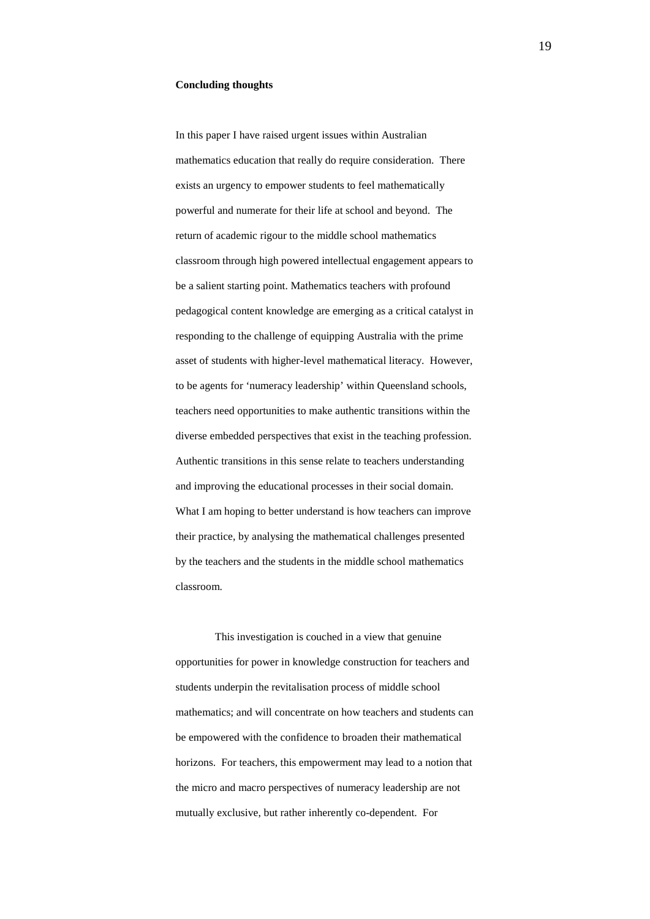#### **Concluding thoughts**

In this paper I have raised urgent issues within Australian mathematics education that really do require consideration. There exists an urgency to empower students to feel mathematically powerful and numerate for their life at school and beyond. The return of academic rigour to the middle school mathematics classroom through high powered intellectual engagement appears to be a salient starting point. Mathematics teachers with profound pedagogical content knowledge are emerging as a critical catalyst in responding to the challenge of equipping Australia with the prime asset of students with higher-level mathematical literacy.However, to be agents for 'numeracy leadership' within Queensland schools, teachers need opportunities to make authentic transitions within the diverse embedded perspectives that exist in the teaching profession. Authentic transitions in this sense relate to teachers understanding and improving the educational processes in their social domain. What I am hoping to better understand is how teachers can improve their practice, by analysing the mathematical challenges presented by the teachers and the students in the middle school mathematics classroom.

This investigation is couched in a view that genuine opportunities for power in knowledge construction for teachers and students underpin the revitalisation process of middle school mathematics; and will concentrate on how teachers and students can be empowered with the confidence to broaden their mathematical horizons. For teachers, this empowerment may lead to a notion that the micro and macro perspectives of numeracy leadership are not mutually exclusive, but rather inherently co-dependent. For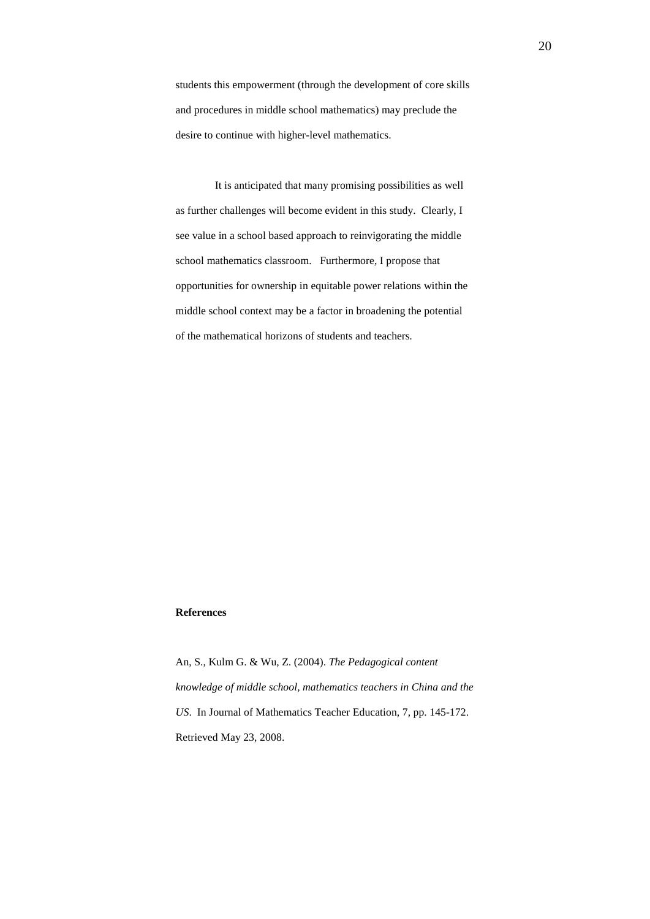students this empowerment (through the development of core skills and procedures in middle school mathematics) may preclude the desire to continue with higher-level mathematics.

It is anticipated that many promising possibilities as well as further challenges will become evident in this study. Clearly, I see value in a school based approach to reinvigorating the middle school mathematics classroom. Furthermore, I propose that opportunities for ownership in equitable power relations within the middle school context may be a factor in broadening the potential of the mathematical horizons of students and teachers*.*

#### **References**

An, S., Kulm G. & Wu, Z. (2004). *The Pedagogical content knowledge of middle school, mathematics teachers in China and the US*. In Journal of Mathematics Teacher Education, 7, pp. 145-172. Retrieved May 23, 2008.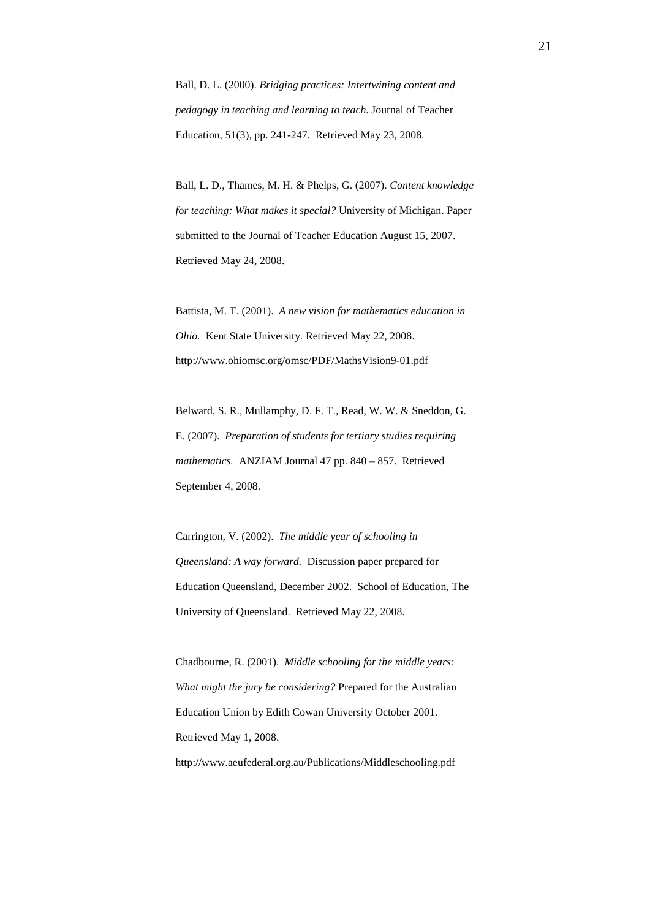Ball, D. L. (2000). *Bridging practices: Intertwining content and pedagogy in teaching and learning to teach.* Journal of Teacher Education, 51(3), pp. 241-247. Retrieved May 23, 2008.

Ball, L. D., Thames, M. H. & Phelps, G. (2007). *Content knowledge for teaching: What makes it special?* University of Michigan. Paper submitted to the Journal of Teacher Education August 15, 2007. Retrieved May 24, 2008.

Battista, M. T. (2001). *A new vision for mathematics education in Ohio.* Kent State University. Retrieved May 22, 2008. <http://www.ohiomsc.org/omsc/PDF/MathsVision9-01.pdf>

Belward, S. R., Mullamphy, D. F. T., Read, W. W. & Sneddon, G. E. (2007). *Preparation of students for tertiary studies requiring mathematics.* ANZIAM Journal 47 pp. 840 – 857. Retrieved September 4, 2008.

Carrington, V. (2002). *The middle year of schooling in Queensland: A way forward.* Discussion paper prepared for Education Queensland, December 2002. School of Education, The University of Queensland. Retrieved May 22, 2008.

Chadbourne, R. (2001). *Middle schooling for the middle years: What might the jury be considering?* Prepared for the Australian Education Union by Edith Cowan University October 2001. Retrieved May 1, 2008. <http://www.aeufederal.org.au/Publications/Middleschooling.pdf>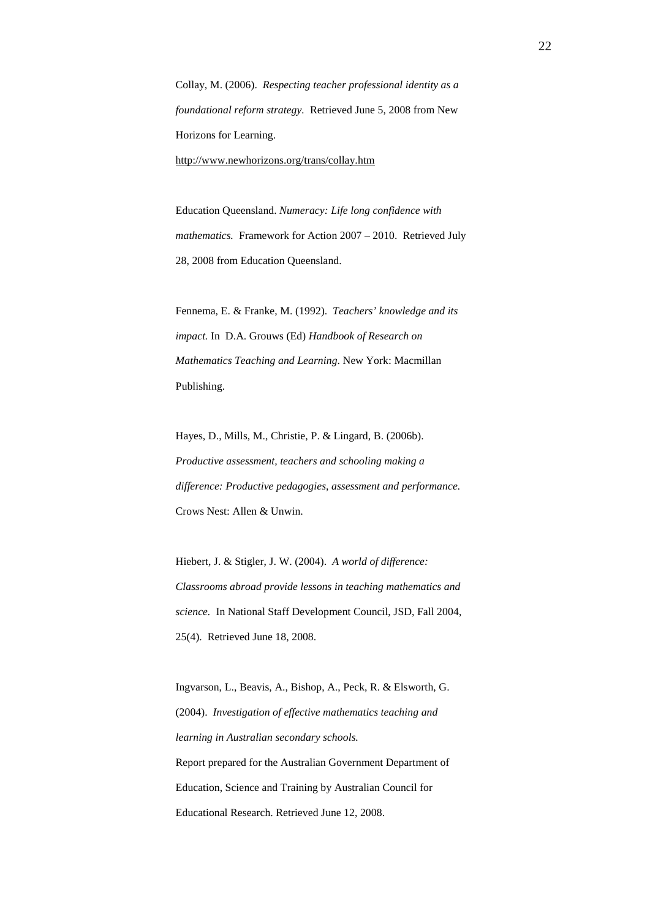Collay, M. (2006). *Respecting teacher professional identity as a foundational reform strategy.* Retrieved June 5, 2008 from New Horizons for Learning. <http://www.newhorizons.org/trans/collay.htm>

Education Queensland. *Numeracy: Life long confidence with mathematics.* Framework for Action 2007 – 2010. Retrieved July 28, 2008 from Education Queensland.

Fennema, E. & Franke, M. (1992). *Teachers' knowledge and its impact.* In D.A. Grouws (Ed) *Handbook of Research on Mathematics Teaching and Learning*. New York: Macmillan Publishing.

Hayes, D., Mills, M., Christie, P. & Lingard, B. (2006b). *Productive assessment, teachers and schooling making a difference: Productive pedagogies*, *assessment and performance.*  Crows Nest: Allen & Unwin.

Hiebert, J. & Stigler, J. W. (2004). *A world of difference: Classrooms abroad provide lessons in teaching mathematics and science.* In National Staff Development Council, JSD, Fall 2004, 25(4). Retrieved June 18, 2008.

Ingvarson, L., Beavis, A., Bishop, A., Peck, R. & Elsworth, G. (2004). *Investigation of effective mathematics teaching and learning in Australian secondary schools.* Report prepared for the Australian Government Department of Education, Science and Training by Australian Council for Educational Research. Retrieved June 12, 2008.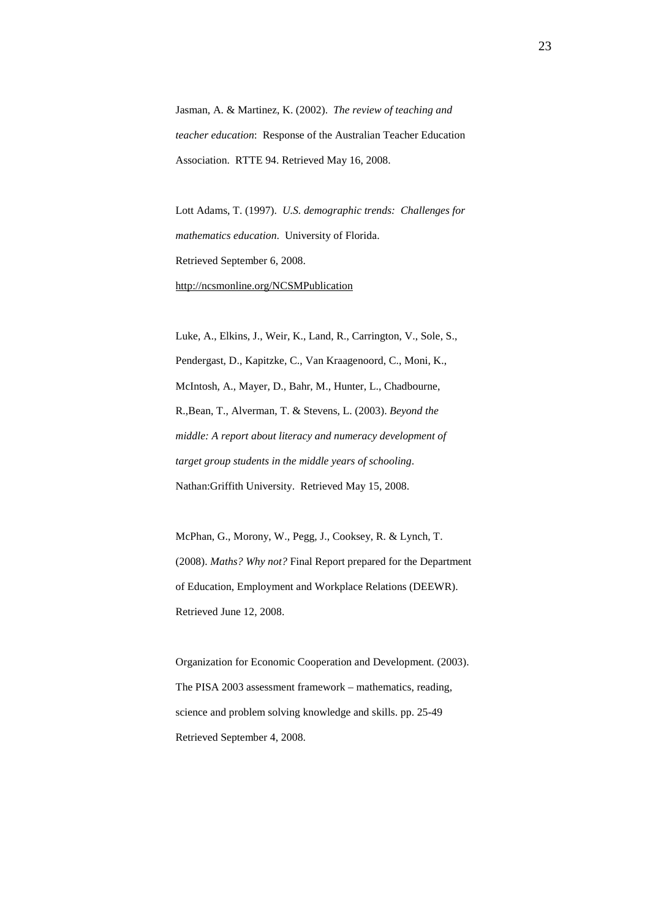Jasman, A. & Martinez, K. (2002). *The review of teaching and teacher education*: Response of the Australian Teacher Education Association. RTTE 94. Retrieved May 16, 2008.

Lott Adams, T. (1997). *U.S. demographic trends: Challenges for mathematics education*. University of Florida. Retrieved September 6, 2008. <http://ncsmonline.org/NCSMPublication>

Luke, A., Elkins, J., Weir, K., Land, R., Carrington, V., Sole, S., Pendergast, D., Kapitzke, C., Van Kraagenoord, C., Moni, K., McIntosh, A., Mayer, D., Bahr, M., Hunter, L., Chadbourne, R.,Bean, T., Alverman, T. & Stevens, L. (2003). *Beyond the middle: A report about literacy and numeracy development of target group students in the middle years of schooling*. Nathan:Griffith University. Retrieved May 15, 2008.

McPhan, G., Morony, W., Pegg, J., Cooksey, R. & Lynch, T. (2008). *Maths? Why not?* Final Report prepared for the Department of Education, Employment and Workplace Relations (DEEWR). Retrieved June 12, 2008.

Organization for Economic Cooperation and Development. (2003). The PISA 2003 assessment framework – mathematics, reading, science and problem solving knowledge and skills. pp. 25-49 Retrieved September 4, 2008.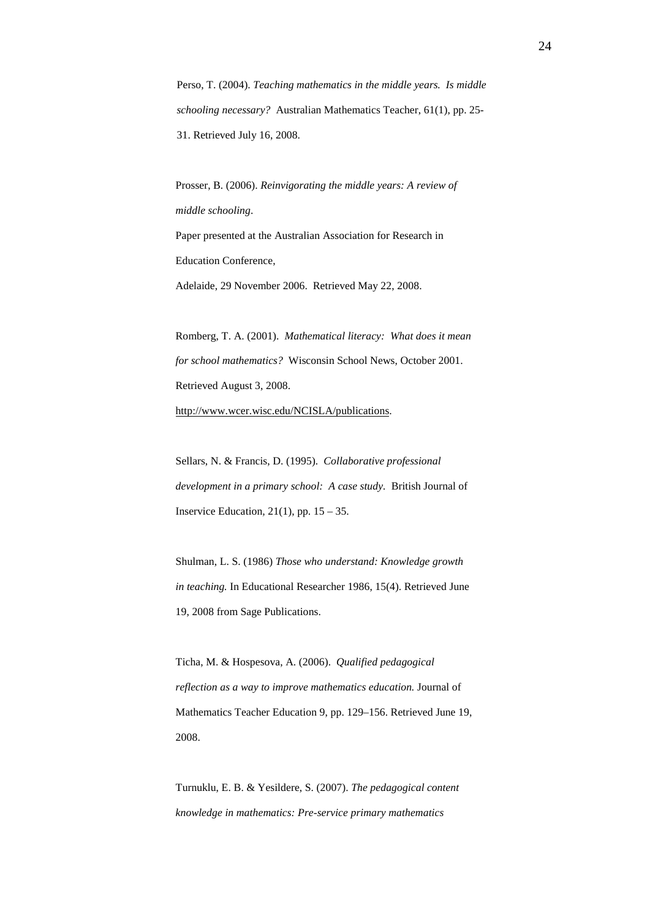Perso, T. (2004). *Teaching mathematics in the middle years. Is middle schooling necessary?* Australian Mathematics Teacher, 61(1), pp. 25- 31. Retrieved July 16, 2008.

Prosser, B. (2006). *Reinvigorating the middle years: A review of middle schooling*. Paper presented at the Australian Association for Research in Education Conference, Adelaide, 29 November 2006. Retrieved May 22, 2008.

Romberg, T. A. (2001). *Mathematical literacy: What does it mean for school mathematics?* Wisconsin School News, October 2001. Retrieved August 3, 2008.

[http://www.wcer.wisc.edu/NCISLA/publications.](http://www.wcer.wisc.edu/NCISLA/publications)

Sellars, N. & Francis, D. (1995). *Collaborative professional development in a primary school: A case study.* British Journal of Inservice Education*,* 21(1), pp. 15 – 35.

Shulman, L. S. (1986) *Those who understand: Knowledge growth in teaching.* In Educational Researcher 1986, 15(4). Retrieved June 19, 2008 from Sage Publications.

Ticha, M. & Hospesova, A. (2006). *Qualified pedagogical reflection as a way to improve mathematics education.* Journal of Mathematics Teacher Education 9, pp. 129–156. Retrieved June 19, 2008.

Turnuklu, E. B. & Yesildere, S. (2007). *The pedagogical content knowledge in mathematics: Pre-service primary mathematics*